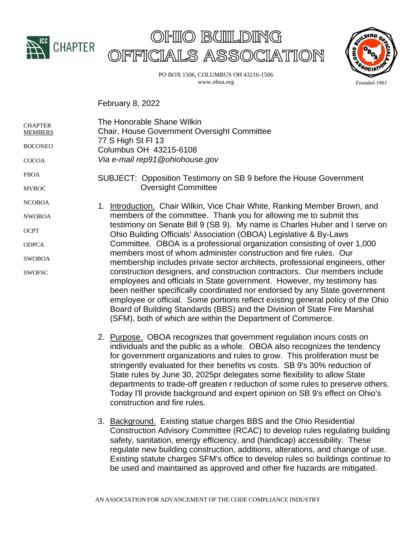





PO BOX 1506, COLUMBUS OH 43216-1506 www.oboa.org

February 8, 2022

| <b>CHAPTER</b><br><b>MEMBERS</b> | The Honorable Shane Wilkin<br><b>Chair, House Government Oversight Committee</b><br>77 S High St FI 13<br>Columbus OH 43215-6108                                                                                                                                                                                                                                                                                                                                                                                                                                                                                                                                                                                                                                                                                                                                                                                                                                                                      |
|----------------------------------|-------------------------------------------------------------------------------------------------------------------------------------------------------------------------------------------------------------------------------------------------------------------------------------------------------------------------------------------------------------------------------------------------------------------------------------------------------------------------------------------------------------------------------------------------------------------------------------------------------------------------------------------------------------------------------------------------------------------------------------------------------------------------------------------------------------------------------------------------------------------------------------------------------------------------------------------------------------------------------------------------------|
| <b>BOCONEO</b>                   |                                                                                                                                                                                                                                                                                                                                                                                                                                                                                                                                                                                                                                                                                                                                                                                                                                                                                                                                                                                                       |
| <b>COCOA</b>                     | Via e-mail rep91@ohiohouse.gov                                                                                                                                                                                                                                                                                                                                                                                                                                                                                                                                                                                                                                                                                                                                                                                                                                                                                                                                                                        |
| <b>FBOA</b>                      | SUBJECT: Opposition Testimony on SB 9 before the House Government                                                                                                                                                                                                                                                                                                                                                                                                                                                                                                                                                                                                                                                                                                                                                                                                                                                                                                                                     |
| <b>MVBOC</b>                     | <b>Oversight Committee</b>                                                                                                                                                                                                                                                                                                                                                                                                                                                                                                                                                                                                                                                                                                                                                                                                                                                                                                                                                                            |
| <b>NCOBOA</b>                    | 1. Introduction. Chair Wilkin, Vice Chair White, Ranking Member Brown, and<br>members of the committee. Thank you for allowing me to submit this<br>testimony on Senate Bill 9 (SB 9). My name is Charles Huber and I serve on<br>Ohio Building Officials' Association (OBOA) Legislative & By-Laws<br>Committee. OBOA is a professional organization consisting of over 1,000<br>members most of whom administer construction and fire rules. Our<br>membership includes private sector architects, professional engineers, other<br>construction designers, and construction contractors. Our members include<br>employees and officials in State government. However, my testimony has<br>been neither specifically coordinated nor endorsed by any State government<br>employee or official. Some portions reflect existing general policy of the Ohio<br>Board of Building Standards (BBS) and the Division of State Fire Marshal<br>(SFM), both of which are within the Department of Commerce. |
| <b>NWOBOA</b>                    |                                                                                                                                                                                                                                                                                                                                                                                                                                                                                                                                                                                                                                                                                                                                                                                                                                                                                                                                                                                                       |
| <b>OCPT</b>                      |                                                                                                                                                                                                                                                                                                                                                                                                                                                                                                                                                                                                                                                                                                                                                                                                                                                                                                                                                                                                       |
| <b>ODPCA</b>                     |                                                                                                                                                                                                                                                                                                                                                                                                                                                                                                                                                                                                                                                                                                                                                                                                                                                                                                                                                                                                       |
| <b>SWOBOA</b>                    |                                                                                                                                                                                                                                                                                                                                                                                                                                                                                                                                                                                                                                                                                                                                                                                                                                                                                                                                                                                                       |
| <b>SWOFSC</b>                    |                                                                                                                                                                                                                                                                                                                                                                                                                                                                                                                                                                                                                                                                                                                                                                                                                                                                                                                                                                                                       |

- 2. Purpose. OBOA recognizes that government regulation incurs costs on individuals and the public as a whole. OBOA also recognizes the tendency for government organizations and rules to grow. This proliferation must be stringently evaluated for their benefits vs costs. SB 9's 30% reduction of State rules by June 30, 2025pr delegates some flexibility to allow State departments to trade-off greaten r reduction of some rules to preserve others. Today I'll provide background and expert opinion on SB 9's effect on Ohio's construction and fire rules.
- 3. Background. Existing statue charges BBS and the Ohio Residential Construction Advisory Committee (RCAC) to develop rules regulating building safety, sanitation, energy efficiency, and (handicap) accessibility. These regulate new building construction, additions, alterations, and change of use. Existing statute charges SFM's office to develop rules so buildings continue to be used and maintained as approved and other fire hazards are mitigated.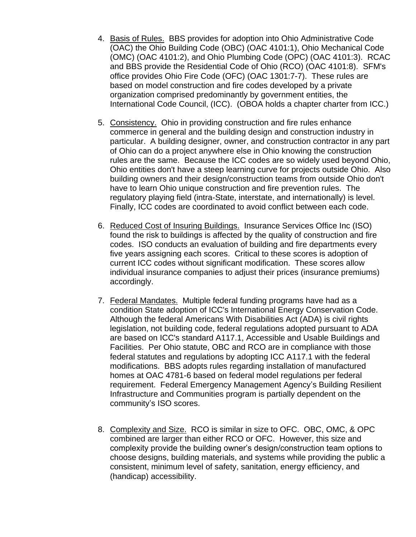- 4. Basis of Rules. BBS provides for adoption into Ohio Administrative Code (OAC) the Ohio Building Code (OBC) (OAC 4101:1), Ohio Mechanical Code (OMC) (OAC 4101:2), and Ohio Plumbing Code (OPC) (OAC 4101:3). RCAC and BBS provide the Residential Code of Ohio (RCO) (OAC 4101:8). SFM's office provides Ohio Fire Code (OFC) (OAC 1301:7-7). These rules are based on model construction and fire codes developed by a private organization comprised predominantly by government entities, the International Code Council, (ICC). (OBOA holds a chapter charter from ICC.)
- 5. Consistency. Ohio in providing construction and fire rules enhance commerce in general and the building design and construction industry in particular. A building designer, owner, and construction contractor in any part of Ohio can do a project anywhere else in Ohio knowing the construction rules are the same. Because the ICC codes are so widely used beyond Ohio, Ohio entities don't have a steep learning curve for projects outside Ohio. Also building owners and their design/construction teams from outside Ohio don't have to learn Ohio unique construction and fire prevention rules. The regulatory playing field (intra-State, interstate, and internationally) is level. Finally, ICC codes are coordinated to avoid conflict between each code.
- 6. Reduced Cost of Insuring Buildings. Insurance Services Office Inc (ISO) found the risk to buildings is affected by the quality of construction and fire codes. ISO conducts an evaluation of building and fire departments every five years assigning each scores. Critical to these scores is adoption of current ICC codes without significant modification. These scores allow individual insurance companies to adjust their prices (insurance premiums) accordingly.
- 7. Federal Mandates. Multiple federal funding programs have had as a condition State adoption of ICC's International Energy Conservation Code. Although the federal Americans With Disabilities Act (ADA) is civil rights legislation, not building code, federal regulations adopted pursuant to ADA are based on ICC's standard A117.1, Accessible and Usable Buildings and Facilities. Per Ohio statute, OBC and RCO are in compliance with those federal statutes and regulations by adopting ICC A117.1 with the federal modifications. BBS adopts rules regarding installation of manufactured homes at OAC 4781-6 based on federal model regulations per federal requirement. Federal Emergency Management Agency's Building Resilient Infrastructure and Communities program is partially dependent on the community's ISO scores.
- 8. Complexity and Size. RCO is similar in size to OFC. OBC, OMC, & OPC combined are larger than either RCO or OFC. However, this size and complexity provide the building owner's design/construction team options to choose designs, building materials, and systems while providing the public a consistent, minimum level of safety, sanitation, energy efficiency, and (handicap) accessibility.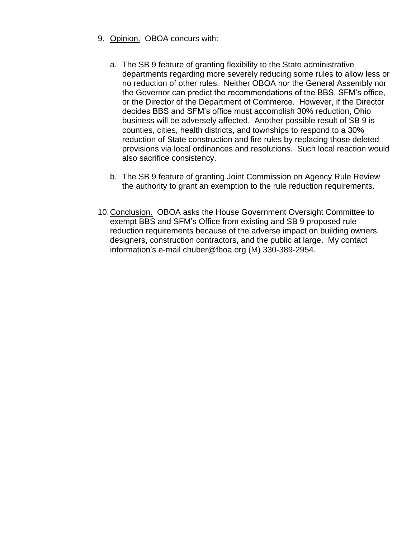- 9. Opinion. OBOA concurs with:
	- a. The SB 9 feature of granting flexibility to the State administrative departments regarding more severely reducing some rules to allow less or no reduction of other rules. Neither OBOA nor the General Assembly nor the Governor can predict the recommendations of the BBS, SFM's office, or the Director of the Department of Commerce. However, if the Director decides BBS and SFM's office must accomplish 30% reduction, Ohio business will be adversely affected. Another possible result of SB 9 is counties, cities, health districts, and townships to respond to a 30% reduction of State construction and fire rules by replacing those deleted provisions via local ordinances and resolutions. Such local reaction would also sacrifice consistency.
	- b. The SB 9 feature of granting Joint Commission on Agency Rule Review the authority to grant an exemption to the rule reduction requirements.
- 10. Conclusion. OBOA asks the House Government Oversight Committee to exempt BBS and SFM's Office from existing and SB 9 proposed rule reduction requirements because of the adverse impact on building owners, designers, construction contractors, and the public at large. My contact information's e-mail chuber@fboa.org (M) 330-389-2954.